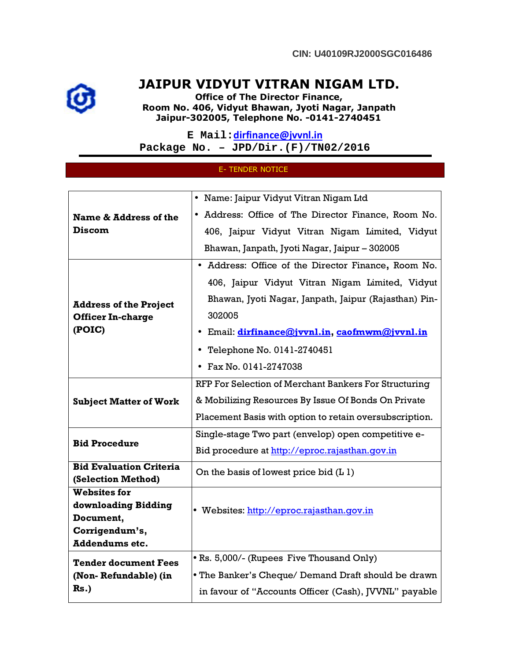## JAIPUR VIDYUT VITRAN NIGAM LTD.

Office of The Director Finance, Room No. 406, Vidyut Bhawan, Jyoti Nagar, Janpath Jaipur-302005, Telephone No. -0141-2740451

**E Mail:**dirfinance@jvvnl.in **Package No. – JPD/Dir.(F)/TN02/2016** 

## E- TENDER NOTICE

| Name & Address of the<br><b>Discom</b>                              | • Name: Jaipur Vidyut Vitran Nigam Ltd                  |
|---------------------------------------------------------------------|---------------------------------------------------------|
|                                                                     | • Address: Office of The Director Finance, Room No.     |
|                                                                     | 406, Jaipur Vidyut Vitran Nigam Limited, Vidyut         |
|                                                                     | Bhawan, Janpath, Jyoti Nagar, Jaipur - 302005           |
| <b>Address of the Project</b><br><b>Officer In-charge</b><br>(POIC) | • Address: Office of the Director Finance, Room No.     |
|                                                                     | 406, Jaipur Vidyut Vitran Nigam Limited, Vidyut         |
|                                                                     | Bhawan, Jyoti Nagar, Janpath, Jaipur (Rajasthan) Pin-   |
|                                                                     | 302005                                                  |
|                                                                     | · Email: <i>dirfinance@jvvnl.in, caofmwm@jvvnl.in</i>   |
|                                                                     | • Telephone No. 0141-2740451                            |
|                                                                     | • Fax No. 0141-2747038                                  |
| <b>Subject Matter of Work</b>                                       | RFP For Selection of Merchant Bankers For Structuring   |
|                                                                     | & Mobilizing Resources By Issue Of Bonds On Private     |
|                                                                     | Placement Basis with option to retain oversubscription. |
| <b>Bid Procedure</b>                                                | Single-stage Two part (envelop) open competitive e-     |
|                                                                     | Bid procedure at http://eproc.rajasthan.gov.in          |
| <b>Bid Evaluation Criteria</b>                                      | On the basis of lowest price bid $(L 1)$                |
| (Selection Method)                                                  |                                                         |
| <b>Websites for</b><br>downloading Bidding                          |                                                         |
| Document,                                                           | · Websites: http://eproc.rajasthan.gov.in               |
| Corrigendum's,                                                      |                                                         |
| <b>Addendums etc.</b>                                               |                                                         |
| <b>Tender document Fees</b>                                         | • Rs. 5,000/- (Rupees Five Thousand Only)               |
| (Non-Refundable) (in                                                | • The Banker's Cheque/ Demand Draft should be drawn     |
| $Rs.$ )                                                             | in favour of "Accounts Officer (Cash), JVVNL" payable   |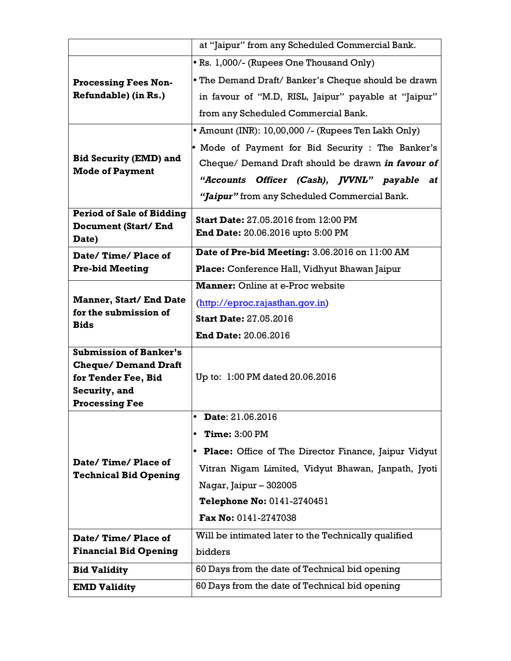|                                                                        | at "Jaipur" from any Scheduled Commercial Bank.        |
|------------------------------------------------------------------------|--------------------------------------------------------|
|                                                                        | • Rs. 1,000/- (Rupees One Thousand Only)               |
| <b>Processing Fees Non-</b><br>Refundable) (in Rs.)                    | • The Demand Draft/ Banker's Cheque should be drawn    |
|                                                                        | in favour of "M.D, RISL, Jaipur" payable at "Jaipur"   |
| <b>Bid Security (EMD) and</b><br><b>Mode of Payment</b>                | from any Scheduled Commercial Bank.                    |
|                                                                        | • Amount (INR): 10,00,000 /- (Rupees Ten Lakh Only)    |
|                                                                        | • Mode of Payment for Bid Security : The Banker's      |
|                                                                        | Cheque/ Demand Draft should be drawn in favour of      |
|                                                                        | "Accounts Officer (Cash), JVVNL" payable at            |
|                                                                        | "Jaipur" from any Scheduled Commercial Bank.           |
| <b>Period of Sale of Bidding</b>                                       | <b>Start Date: 27.05.2016 from 12:00 PM</b>            |
| Document (Start/ End<br>Date)                                          | <b>End Date:</b> 20.06.2016 upto 5:00 PM               |
| Date/Time/Place of                                                     | Date of Pre-bid Meeting: 3.06.2016 on 11:00 AM         |
| <b>Pre-bid Meeting</b>                                                 | Place: Conference Hall, Vidhyut Bhawan Jaipur          |
|                                                                        | <b>Manner:</b> Online at e-Proc website                |
| <b>Manner, Start/ End Date</b><br>for the submission of<br><b>Bids</b> | (http://eproc.rajasthan.qov.in)                        |
|                                                                        | <b>Start Date: 27.05.2016</b>                          |
|                                                                        | <b>End Date: 20.06.2016</b>                            |
| <b>Submission of Banker's</b>                                          |                                                        |
| <b>Cheque/Demand Draft</b><br>for Tender Fee, Bid                      | Up to: 1:00 PM dated 20.06.2016                        |
| Security, and                                                          |                                                        |
| <b>Processing Fee</b>                                                  |                                                        |
|                                                                        | Date: 21.06.2016<br>$\bullet$                          |
| Date/Time/Place of<br><b>Technical Bid Opening</b>                     | <b>Time: 3:00 PM</b>                                   |
|                                                                        | • Place: Office of The Director Finance, Jaipur Vidyut |
|                                                                        | Vitran Nigam Limited, Vidyut Bhawan, Janpath, Jyoti    |
|                                                                        | Nagar, Jaipur - 302005                                 |
|                                                                        | Telephone No: 0141-2740451                             |
|                                                                        | Fax No: 0141-2747038                                   |
| Date/Time/Place of                                                     | Will be intimated later to the Technically qualified   |
| <b>Financial Bid Opening</b>                                           | bidders                                                |
| <b>Bid Validity</b>                                                    | 60 Days from the date of Technical bid opening         |
| <b>EMD Validity</b>                                                    | 60 Days from the date of Technical bid opening         |